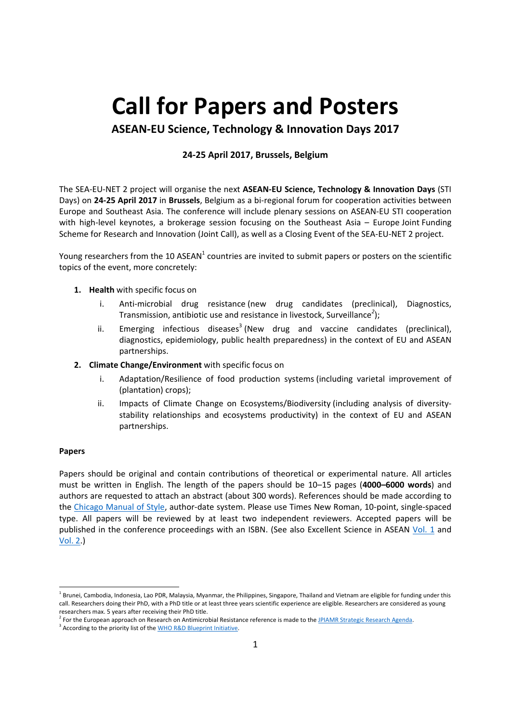# **Call for Papers and Posters**

**ASEAN‐EU Science, Technology & Innovation Days 2017** 

# **24‐25 April 2017, Brussels, Belgium**

The SEA‐EU‐NET 2 project will organise the next **ASEAN‐EU Science, Technology & Innovation Days** (STI Days) on **24‐25 April 2017** in **Brussels**, Belgium as a bi‐regional forum for cooperation activities between Europe and Southeast Asia. The conference will include plenary sessions on ASEAN‐EU STI cooperation with high-level keynotes, a brokerage session focusing on the Southeast Asia – Europe Joint Funding Scheme for Research and Innovation (Joint Call), as well as a Closing Event of the SEA‐EU‐NET 2 project.

Young researchers from the 10 ASEAN<sup>1</sup> countries are invited to submit papers or posters on the scientific topics of the event, more concretely:

- **1. Health** with specific focus on
	- i. Anti-microbial drug resistance (new drug candidates (preclinical), Diagnostics, Transmission, antibiotic use and resistance in livestock, Surveillance*<sup>2</sup>* );
	- ii. Emerging infectious diseases<sup>3</sup> (New drug and vaccine candidates (preclinical), diagnostics, epidemiology, public health preparedness) in the context of EU and ASEAN partnerships.
- **2. Climate Change/Environment** with specific focus on
	- i. Adaptation/Resilience of food production systems (including varietal improvement of (plantation) crops);
	- ii. Impacts of Climate Change on Ecosystems/Biodiversity (including analysis of diversity‐ stability relationships and ecosystems productivity) in the context of EU and ASEAN partnerships.

#### **Papers**

Papers should be original and contain contributions of theoretical or experimental nature. All articles must be written in English. The length of the papers should be 10–15 pages (**4000–6000 words**) and authors are requested to attach an abstract (about 300 words). References should be made according to the Chicago Manual of Style, author-date system. Please use Times New Roman, 10-point, single-spaced type. All papers will be reviewed by at least two independent reviewers. Accepted papers will be published in the conference proceedings with an ISBN. (See also Excellent Science in ASEAN Vol. 1 and Vol. 2.)

<sup>&</sup>lt;sup>1</sup> Brunei, Cambodia, Indonesia, Lao PDR, Malaysia, Myanmar, the Philippines, Singapore, Thailand and Vietnam are eligible for funding under this call. Researchers doing their PhD, with a PhD title or at least three years scientific experience are eligible. Researchers are considered as young researchers max. 5 years after receiving their PhD title.

<sup>&</sup>lt;sup>2</sup> For the European approach on Research on Antimicrobial Resistance reference is made to the <u>JPIAMR Strategic Research Agenda</u>.<br><sup>3</sup> Acceptive to the priority list of the MUIO B&D Bluessist Initiative.

<sup>&</sup>lt;sup>3</sup> According to the priority list of the WHO R&D Blueprint Initiative.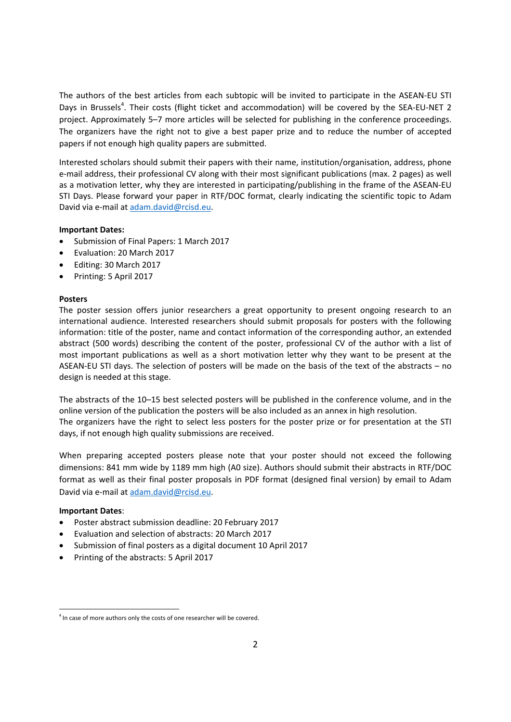The authors of the best articles from each subtopic will be invited to participate in the ASEAN-EU STI Days in Brussels<sup>4</sup>. Their costs (flight ticket and accommodation) will be covered by the SEA-EU-NET 2 project. Approximately 5–7 more articles will be selected for publishing in the conference proceedings. The organizers have the right not to give a best paper prize and to reduce the number of accepted papers if not enough high quality papers are submitted.

Interested scholars should submit their papers with their name, institution/organisation, address, phone e‐mail address, their professional CV along with their most significant publications (max. 2 pages) as well as a motivation letter, why they are interested in participating/publishing in the frame of the ASEAN‐EU STI Days. Please forward your paper in RTF/DOC format, clearly indicating the scientific topic to Adam David via e‐mail at adam.david@rcisd.eu.

## **Important Dates:**

- Submission of Final Papers: 1 March 2017
- Fyaluation: 20 March 2017
- Editing: 30 March 2017
- Printing: 5 April 2017

## **Posters**

The poster session offers junior researchers a great opportunity to present ongoing research to an international audience. Interested researchers should submit proposals for posters with the following information: title of the poster, name and contact information of the corresponding author, an extended abstract (500 words) describing the content of the poster, professional CV of the author with a list of most important publications as well as a short motivation letter why they want to be present at the ASEAN‐EU STI days. The selection of posters will be made on the basis of the text of the abstracts – no design is needed at this stage.

The abstracts of the 10–15 best selected posters will be published in the conference volume, and in the online version of the publication the posters will be also included as an annex in high resolution. The organizers have the right to select less posters for the poster prize or for presentation at the STI days, if not enough high quality submissions are received.

When preparing accepted posters please note that your poster should not exceed the following dimensions: 841 mm wide by 1189 mm high (A0 size). Authors should submit their abstracts in RTF/DOC format as well as their final poster proposals in PDF format (designed final version) by email to Adam David via e-mail at adam.david@rcisd.eu.

# **Important Dates**:

- Poster abstract submission deadline: 20 February 2017
- Evaluation and selection of abstracts: 20 March 2017
- Submission of final posters as a digital document 10 April 2017
- Printing of the abstracts: 5 April 2017

  $<sup>4</sup>$  In case of more authors only the costs of one researcher will be covered.</sup>